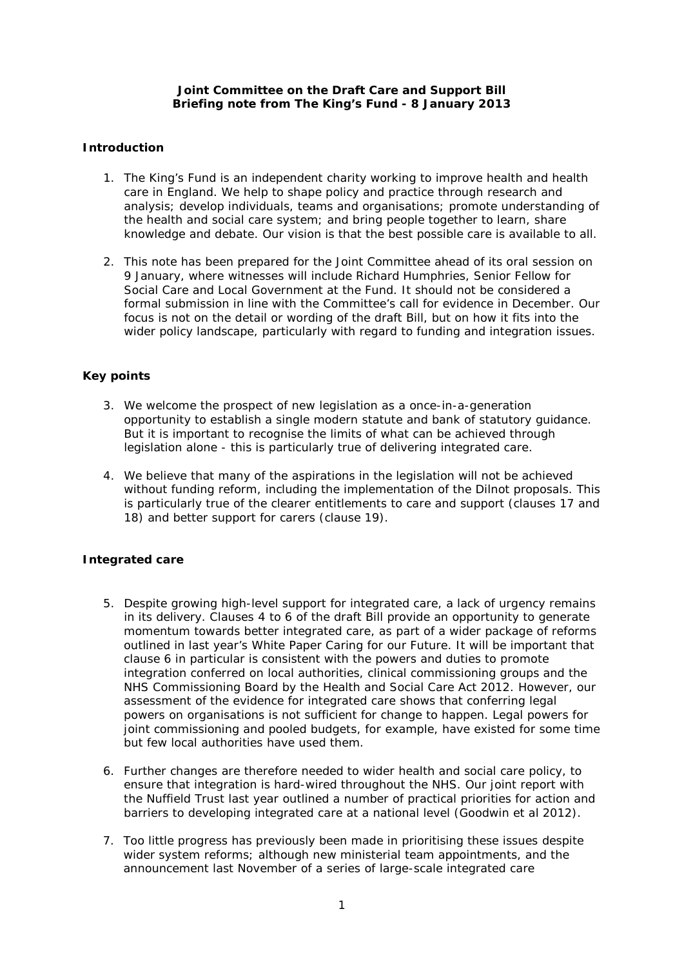## **Joint Committee on the Draft Care and Support Bill Briefing note from The King's Fund - 8 January 2013**

# **Introduction**

- 1. The King's Fund is an independent charity working to improve health and health care in England. We help to shape policy and practice through research and analysis; develop individuals, teams and organisations; promote understanding of the health and social care system; and bring people together to learn, share knowledge and debate. Our vision is that the best possible care is available to all.
- 2. This note has been prepared for the Joint Committee ahead of its oral session on 9 January, where witnesses will include Richard Humphries, Senior Fellow for Social Care and Local Government at the Fund. It should not be considered a formal submission in line with the Committee's call for evidence in December. Our focus is not on the detail or wording of the draft Bill, but on how it fits into the wider policy landscape, particularly with regard to funding and integration issues.

# **Key points**

- 3. We welcome the prospect of new legislation as a once-in-a-generation opportunity to establish a single modern statute and bank of statutory guidance. But it is important to recognise the limits of what can be achieved through legislation alone - this is particularly true of delivering integrated care.
- 4. We believe that many of the aspirations in the legislation will not be achieved without funding reform, including the implementation of the Dilnot proposals. This is particularly true of the clearer entitlements to care and support (clauses 17 and 18) and better support for carers (clause 19).

## **Integrated care**

- 5. Despite growing high-level support for integrated care, a lack of urgency remains in its delivery. Clauses 4 to 6 of the draft Bill provide an opportunity to generate momentum towards better integrated care, as part of a wider package of reforms outlined in last year's White Paper *Caring for our Future*. It will be important that clause 6 in particular is consistent with the powers and duties to promote integration conferred on local authorities, clinical commissioning groups and the NHS Commissioning Board by the Health and Social Care Act 2012. However, our assessment of the evidence for integrated care shows that conferring legal powers on organisations is not sufficient for change to happen. Legal powers for joint commissioning and pooled budgets, for example, have existed for some time but few local authorities have used them*.*
- 6. Further changes are therefore needed to wider health and social care policy, to ensure that integration is hard-wired throughout the NHS. Our joint report with the Nuffield Trust last year outlined a number of practical priorities for action and barriers to developing integrated care at a national level (Goodwin *et al* 2012).
- 7. Too little progress has previously been made in prioritising these issues despite wider system reforms; although new ministerial team appointments, and the announcement last November of a series of large-scale integrated care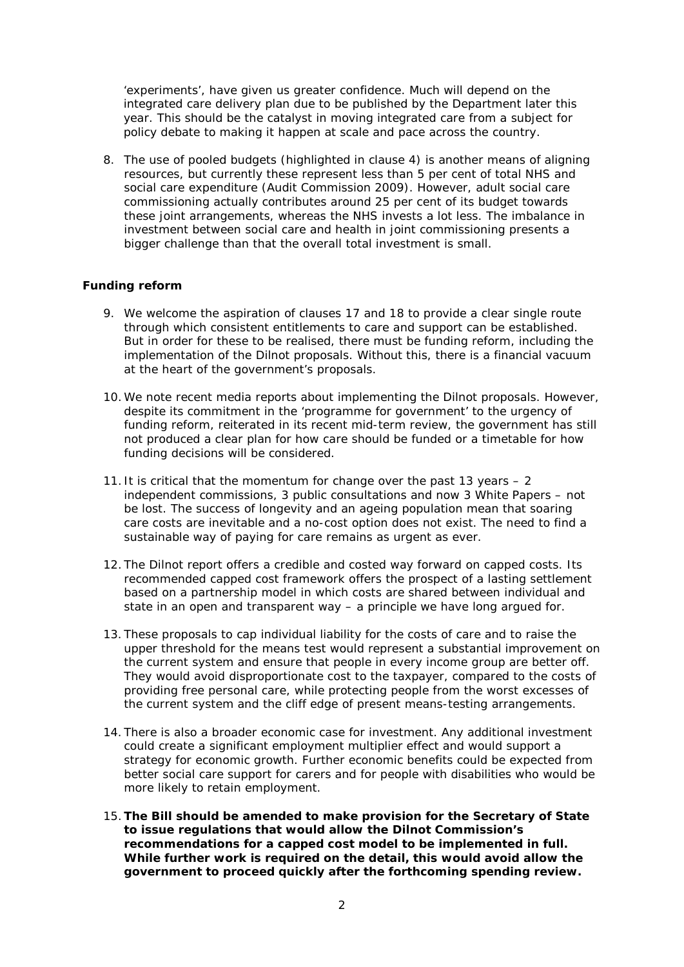'experiments', have given us greater confidence. Much will depend on the integrated care delivery plan due to be published by the Department later this year. This should be the catalyst in moving integrated care from a subject for policy debate to making it happen at scale and pace across the country.

8. The use of pooled budgets (highlighted in clause 4) is another means of aligning resources, but currently these represent less than 5 per cent of total NHS and social care expenditure (Audit Commission 2009). However, adult social care commissioning actually contributes around 25 per cent of its budget towards these joint arrangements, whereas the NHS invests a lot less. The imbalance in investment between social care and health in joint commissioning presents a bigger challenge than that the overall total investment is small.

## **Funding reform**

- 9. We welcome the aspiration of clauses 17 and 18 to provide a clear single route through which consistent entitlements to care and support can be established. But in order for these to be realised, there must be funding reform, including the implementation of the Dilnot proposals. Without this, there is a financial vacuum at the heart of the government's proposals.
- 10. We note recent media reports about implementing the Dilnot proposals. However, despite its commitment in the 'programme for government' to the urgency of funding reform, reiterated in its recent mid-term review, the government has still not produced a clear plan for how care should be funded or a timetable for how funding decisions will be considered.
- 11. It is critical that the momentum for change over the past 13 years  $-2$ independent commissions, 3 public consultations and now 3 White Papers – not be lost. The success of longevity and an ageing population mean that soaring care costs are inevitable and a no-cost option does not exist. The need to find a sustainable way of paying for care remains as urgent as ever.
- 12. The Dilnot report offers a credible and costed way forward on capped costs. Its recommended capped cost framework offers the prospect of a lasting settlement based on a partnership model in which costs are shared between individual and state in an open and transparent way – a principle we have long argued for.
- 13. These proposals to cap individual liability for the costs of care and to raise the upper threshold for the means test would represent a substantial improvement on the current system and ensure that people in every income group are better off. They would avoid disproportionate cost to the taxpayer, compared to the costs of providing free personal care, while protecting people from the worst excesses of the current system and the cliff edge of present means-testing arrangements.
- 14. There is also a broader economic case for investment. Any additional investment could create a significant employment multiplier effect and would support a strategy for economic growth. Further economic benefits could be expected from better social care support for carers and for people with disabilities who would be more likely to retain employment.
- 15.*The Bill should be amended to make provision for the Secretary of State to issue regulations that would allow the Dilnot Commission's recommendations for a capped cost model to be implemented in full. While further work is required on the detail, this would avoid allow the government to proceed quickly after the forthcoming spending review.*